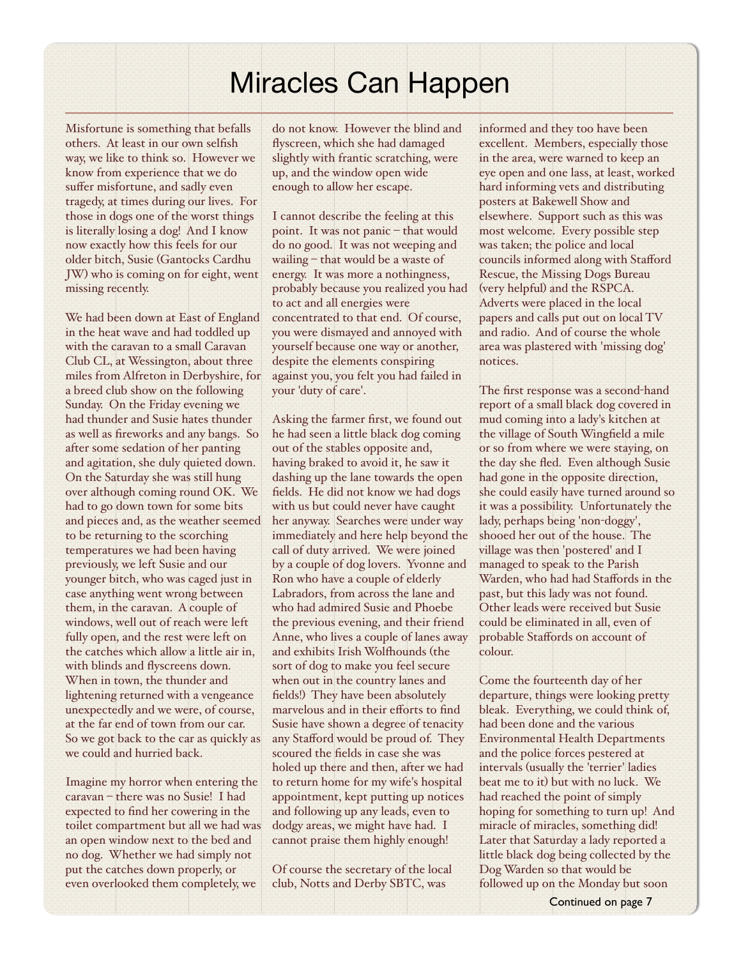# Miracles Can Happen

Misfortune is something that befalls others. At least in our own selfish way, we like to think so. However we know from experience that we do suffer misfortune, and sadly even tragedy, at times during our lives. For those in dogs one of the worst things is literally losing a dog! And I know now exactly how this feels for our older bitch, Susie (Gantocks Cardhu JW) who is coming on for eight, went missing recently.

We had been down at East of England in the heat wave and had toddled up with the caravan to a small Caravan Club CL, at Wessington, about three miles from Alfreton in Derbyshire, for a breed club show on the following Sunday. On the Friday evening we had thunder and Susie hates thunder as well as fireworks and any bangs. So after some sedation of her panting and agitation, she duly quieted down. On the Saturday she was still hung over although coming round OK. We had to go down town for some bits and pieces and, as the weather seemed to be returning to the scorching temperatures we had been having previously, we left Susie and our younger bitch, who was caged just in case anything went wrong between them, in the caravan. A couple of windows, well out of reach were left fully open, and the rest were left on the catches which allow a little air in, with blinds and flyscreens down. When in town, the thunder and lightening returned with a vengeance unexpectedly and we were, of course, at the far end of town from our car. So we got back to the car as quickly as we could and hurried back.

Imagine my horror when entering the caravan – there was no Susie! I had expected to find her cowering in the toilet compartment but all we had was an open window next to the bed and no dog. Whether we had simply not put the catches down properly, or even overlooked them completely, we

do not know. However the blind and flyscreen, which she had damaged slightly with frantic scratching, were up, and the window open wide enough to allow her escape.

I cannot describe the feeling at this point. It was not panic – that would do no good. It was not weeping and wailing – that would be a waste of energy. It was more a nothingness, probably because you realized you had to act and all energies were concentrated to that end. Of course, you were dismayed and annoyed with yourself because one way or another, despite the elements conspiring against you, you felt you had failed in your 'duty of care'.

Asking the farmer first, we found out he had seen a little black dog coming out of the stables opposite and, having braked to avoid it, he saw it dashing up the lane towards the open fields. He did not know we had dogs with us but could never have caught her anyway. Searches were under way immediately and here help beyond the call of duty arrived. We were joined by a couple of dog lovers. Yvonne and Ron who have a couple of elderly Labradors, from across the lane and who had admired Susie and Phoebe the previous evening, and their friend Anne, who lives a couple of lanes away and exhibits Irish Wolfhounds (the sort of dog to make you feel secure when out in the country lanes and fields!) They have been absolutely marvelous and in their efforts to find Susie have shown a degree of tenacity any Stafford would be proud of. They scoured the fields in case she was holed up there and then, after we had to return home for my wife's hospital appointment, kept putting up notices and following up any leads, even to dodgy areas, we might have had. I cannot praise them highly enough!

Of course the secretary of the local club, Notts and Derby SBTC, was

informed and they too have been excellent. Members, especially those in the area, were warned to keep an eye open and one lass, at least, worked hard informing vets and distributing posters at Bakewell Show and elsewhere. Support such as this was most welcome. Every possible step was taken; the police and local councils informed along with Stafford Rescue, the Missing Dogs Bureau (very helpful) and the RSPCA. Adverts were placed in the local papers and calls put out on local TV and radio. And of course the whole area was plastered with 'missing dog' notices.

The first response was a second-hand report of a small black dog covered in mud coming into a lady's kitchen at the village of South Wingfield a mile or so from where we were staying, on the day she fled. Even although Susie had gone in the opposite direction, she could easily have turned around so it was a possibility. Unfortunately the lady, perhaps being 'non-doggy', shooed her out of the house. The village was then 'postered' and I managed to speak to the Parish Warden, who had had Staffords in the past, but this lady was not found. Other leads were received but Susie could be eliminated in all, even of probable Staffords on account of colour.

Come the fourteenth day of her departure, things were looking pretty bleak. Everything, we could think of, had been done and the various Environmental Health Departments and the police forces pestered at intervals (usually the 'terrier' ladies beat me to it) but with no luck. We had reached the point of simply hoping for something to turn up! And miracle of miracles, something did! Later that Saturday a lady reported a little black dog being collected by the Dog Warden so that would be followed up on the Monday but soon

Continued on page 7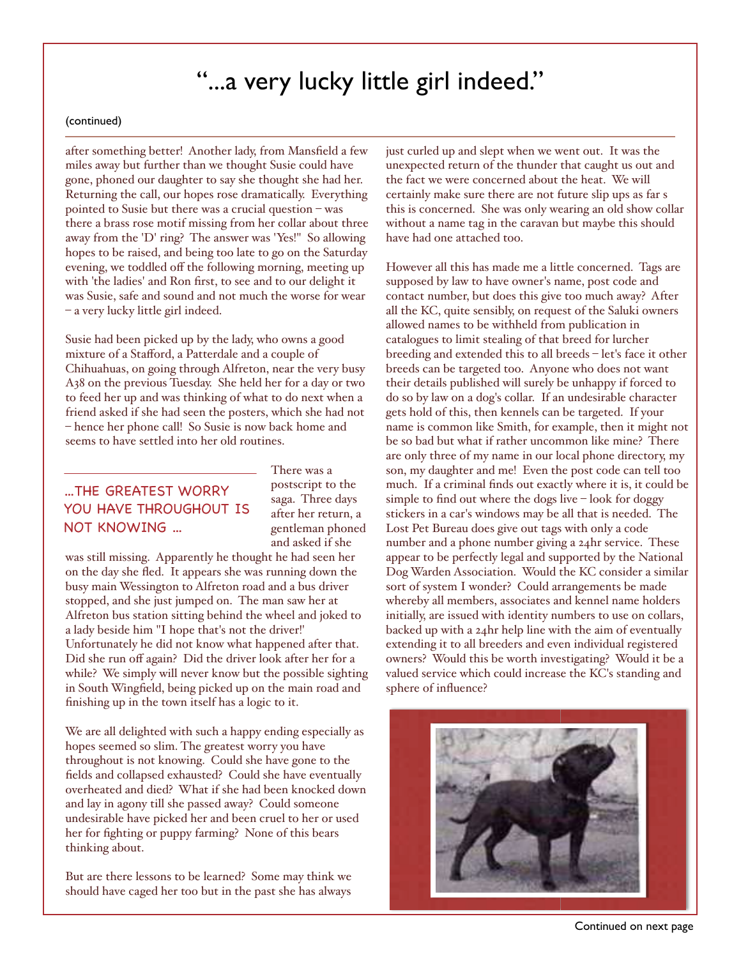## "...a very lucky little girl indeed."

### (continued)

after something better! Another lady, from Mansfield a few miles away but further than we thought Susie could have gone, phoned our daughter to say she thought she had her. Returning the call, our hopes rose dramatically. Everything pointed to Susie but there was a crucial question – was there a brass rose motif missing from her collar about three away from the 'D' ring? The answer was 'Yes!" So allowing hopes to be raised, and being too late to go on the Saturday evening, we toddled off the following morning, meeting up with 'the ladies' and Ron first, to see and to our delight it was Susie, safe and sound and not much the worse for wear – a very lucky little girl indeed.

Susie had been picked up by the lady, who owns a good mixture of a Stafford, a Patterdale and a couple of Chihuahuas, on going through Alfreton, near the very busy A38 on the previous Tuesday. She held her for a day or two to feed her up and was thinking of what to do next when a friend asked if she had seen the posters, which she had not – hence her phone call! So Susie is now back home and seems to have settled into her old routines.

## ...THE GREATEST WORRY YOU HAVE THROUGHOUT IS NOT KNOWING ...

There was a postscript to the saga. Three days after her return, a gentleman phoned and asked if she

was still missing. Apparently he thought he had seen her on the day she fled. It appears she was running down the busy main Wessington to Alfreton road and a bus driver stopped, and she just jumped on. The man saw her at Alfreton bus station sitting behind the wheel and joked to a lady beside him "I hope that's not the driver!' Unfortunately he did not know what happened after that. Did she run off again? Did the driver look after her for a while? We simply will never know but the possible sighting in South Wingfield, being picked up on the main road and finishing up in the town itself has a logic to it.

We are all delighted with such a happy ending especially as hopes seemed so slim. The greatest worry you have throughout is not knowing. Could she have gone to the fields and collapsed exhausted? Could she have eventually overheated and died? What if she had been knocked down and lay in agony till she passed away? Could someone undesirable have picked her and been cruel to her or used her for fighting or puppy farming? None of this bears thinking about.

But are there lessons to be learned? Some may think we should have caged her too but in the past she has always just curled up and slept when we went out. It was the unexpected return of the thunder that caught us out and the fact we were concerned about the heat. We will certainly make sure there are not future slip ups as far s this is concerned. She was only wearing an old show collar without a name tag in the caravan but maybe this should have had one attached too.

However all this has made me a little concerned. Tags are supposed by law to have owner's name, post code and contact number, but does this give too much away? After all the KC, quite sensibly, on request of the Saluki owners allowed names to be withheld from publication in catalogues to limit stealing of that breed for lurcher breeding and extended this to all breeds – let's face it other breeds can be targeted too. Anyone who does not want their details published will surely be unhappy if forced to do so by law on a dog's collar. If an undesirable character gets hold of this, then kennels can be targeted. If your name is common like Smith, for example, then it might not be so bad but what if rather uncommon like mine? There are only three of my name in our local phone directory, my son, my daughter and me! Even the post code can tell too much. If a criminal finds out exactly where it is, it could be simple to find out where the dogs live – look for doggy stickers in a car's windows may be all that is needed. The Lost Pet Bureau does give out tags with only a code number and a phone number giving a 24hr service. These appear to be perfectly legal and supported by the National Dog Warden Association. Would the KC consider a similar sort of system I wonder? Could arrangements be made whereby all members, associates and kennel name holders initially, are issued with identity numbers to use on collars, backed up with a 24hr help line with the aim of eventually extending it to all breeders and even individual registered owners? Would this be worth investigating? Would it be a valued service which could increase the KC's standing and sphere of influence?



Continued on next page